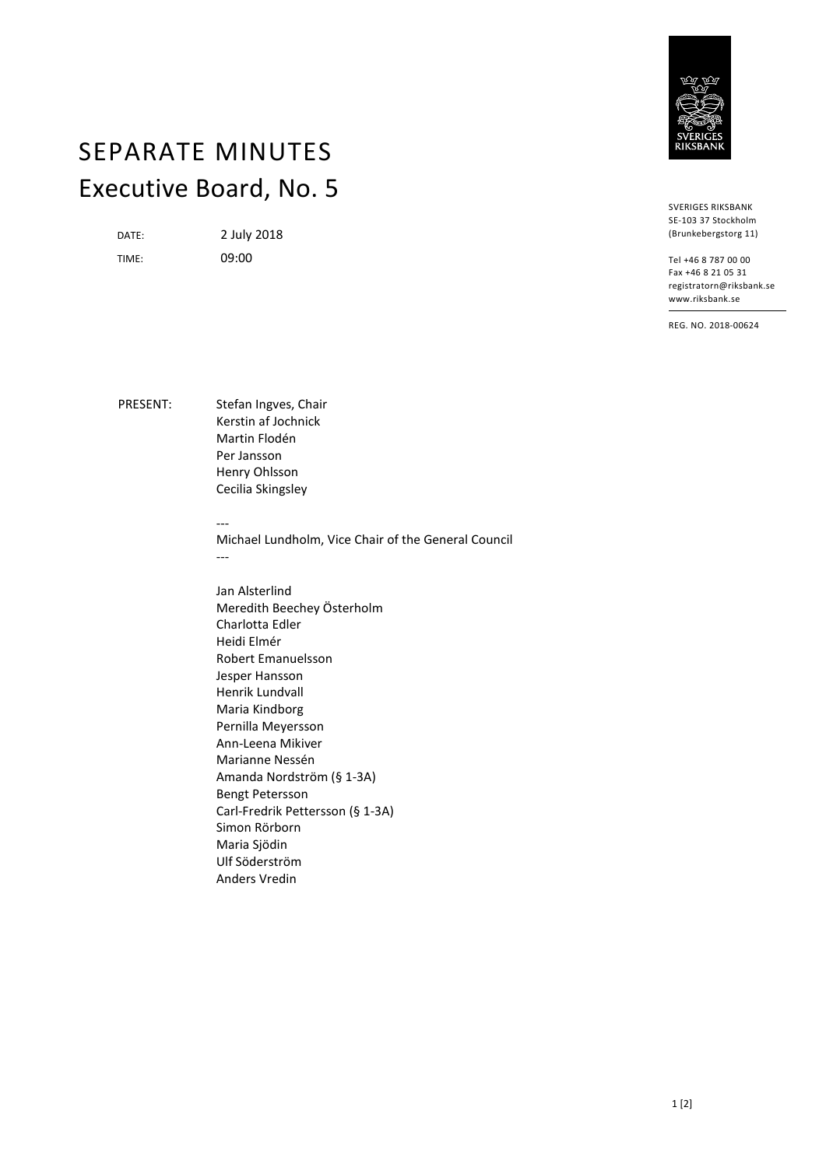

## SEPARATE MINUTES Executive Board, No. 5

DATE: 2 July 2018

TIME: 09:00

SVERIGES RIKSBANK SE-103 37 Stockholm (Brunkebergstorg 11)

Tel +46 8 787 00 00 Fax +46 8 21 05 31 registratorn@riksbank.se www.riksbank.se

REG. NO. 2018-00624

PRESENT: Stefan Ingves, Chair Kerstin af Jochnick Martin Flodén Per Jansson Henry Ohlsson Cecilia Skingsley

---

Michael Lundholm, Vice Chair of the General Council ---

Jan Alsterlind Meredith Beechey Österholm Charlotta Edler Heidi Elmér Robert Emanuelsson Jesper Hansson Henrik Lundvall Maria Kindborg Pernilla Meyersson Ann-Leena Mikiver Marianne Nessén Amanda Nordström (§ 1-3A) Bengt Petersson Carl-Fredrik Pettersson (§ 1-3A) Simon Rörborn Maria Sjödin Ulf Söderström Anders Vredin